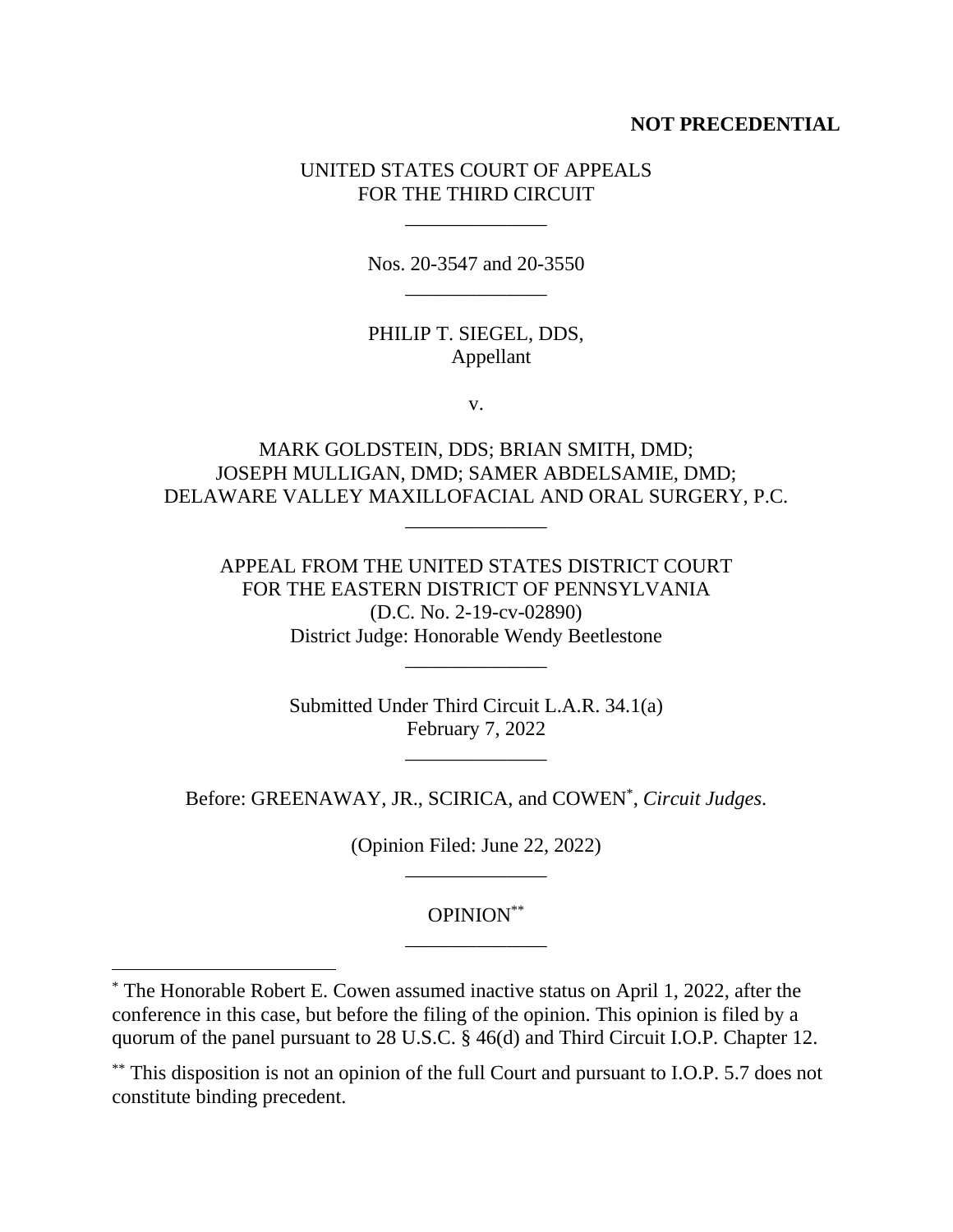## **NOT PRECEDENTIAL**

## UNITED STATES COURT OF APPEALS FOR THE THIRD CIRCUIT

\_\_\_\_\_\_\_\_\_\_\_\_\_\_

Nos. 20-3547 and 20-3550 \_\_\_\_\_\_\_\_\_\_\_\_\_\_

## PHILIP T. SIEGEL, DDS, Appellant

v.

# MARK GOLDSTEIN, DDS; BRIAN SMITH, DMD; JOSEPH MULLIGAN, DMD; SAMER ABDELSAMIE, DMD; DELAWARE VALLEY MAXILLOFACIAL AND ORAL SURGERY, P.C.

\_\_\_\_\_\_\_\_\_\_\_\_\_\_

APPEAL FROM THE UNITED STATES DISTRICT COURT FOR THE EASTERN DISTRICT OF PENNSYLVANIA (D.C. No. 2-19-cv-02890) District Judge: Honorable Wendy Beetlestone

\_\_\_\_\_\_\_\_\_\_\_\_\_\_

Submitted Under Third Circuit L.A.R. 34.1(a) February 7, 2022

\_\_\_\_\_\_\_\_\_\_\_\_\_\_

Before: GREENAWAY, JR., SCIRICA, and COWEN\* , *Circuit Judges*.

(Opinion Filed: June 22, 2022) \_\_\_\_\_\_\_\_\_\_\_\_\_\_

> OPINION\*\* \_\_\_\_\_\_\_\_\_\_\_\_\_\_

\* The Honorable Robert E. Cowen assumed inactive status on April 1, 2022, after the conference in this case, but before the filing of the opinion. This opinion is filed by a quorum of the panel pursuant to 28 U.S.C. § 46(d) and Third Circuit I.O.P. Chapter 12.

\*\* This disposition is not an opinion of the full Court and pursuant to I.O.P. 5.7 does not constitute binding precedent.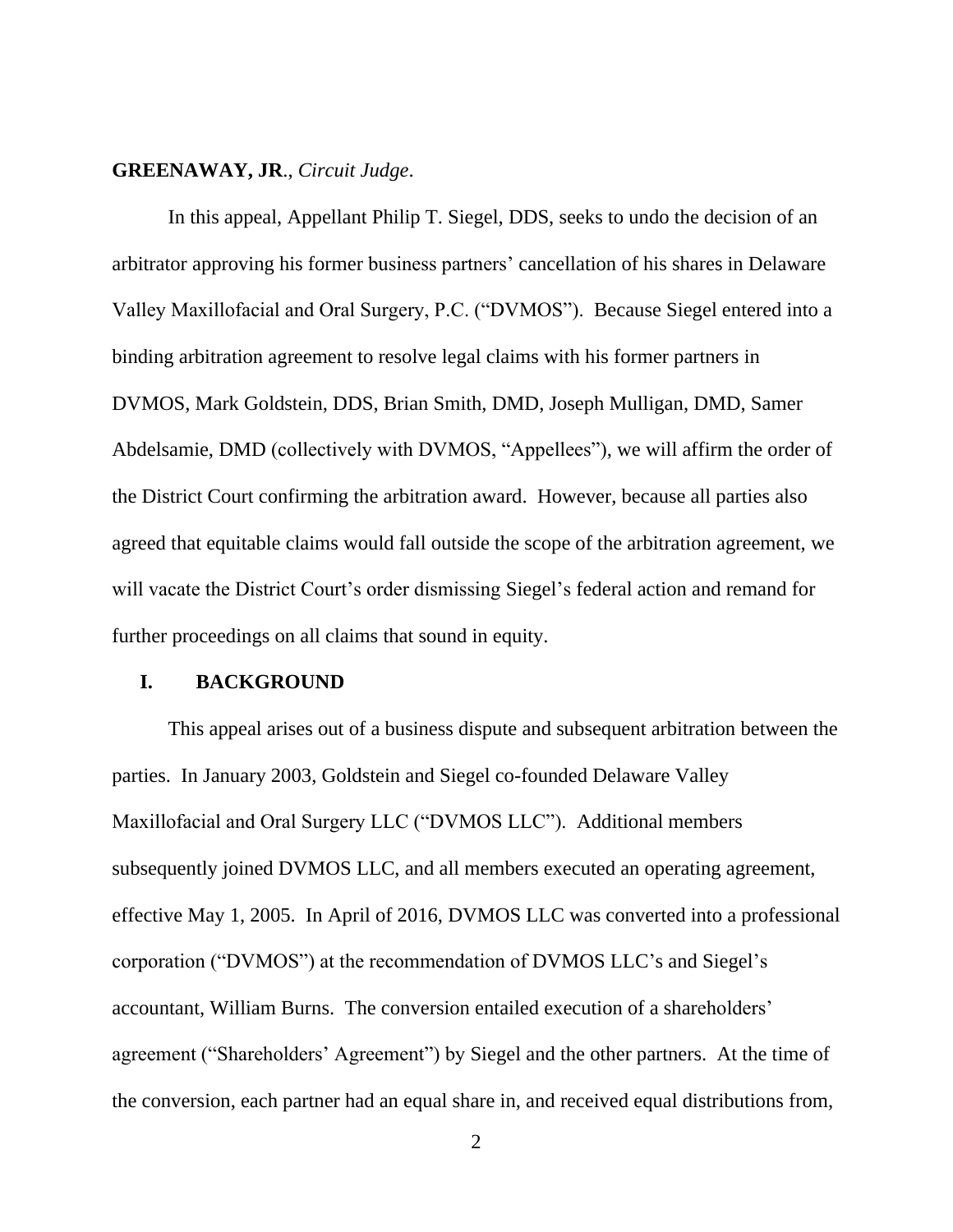### **GREENAWAY, JR**., *Circuit Judge*.

In this appeal, Appellant Philip T. Siegel, DDS, seeks to undo the decision of an arbitrator approving his former business partners' cancellation of his shares in Delaware Valley Maxillofacial and Oral Surgery, P.C. ("DVMOS"). Because Siegel entered into a binding arbitration agreement to resolve legal claims with his former partners in DVMOS, Mark Goldstein, DDS, Brian Smith, DMD, Joseph Mulligan, DMD, Samer Abdelsamie, DMD (collectively with DVMOS, "Appellees"), we will affirm the order of the District Court confirming the arbitration award. However, because all parties also agreed that equitable claims would fall outside the scope of the arbitration agreement, we will vacate the District Court's order dismissing Siegel's federal action and remand for further proceedings on all claims that sound in equity.

### **I. BACKGROUND**

This appeal arises out of a business dispute and subsequent arbitration between the parties. In January 2003, Goldstein and Siegel co-founded Delaware Valley Maxillofacial and Oral Surgery LLC ("DVMOS LLC"). Additional members subsequently joined DVMOS LLC, and all members executed an operating agreement, effective May 1, 2005. In April of 2016, DVMOS LLC was converted into a professional corporation ("DVMOS") at the recommendation of DVMOS LLC's and Siegel's accountant, William Burns. The conversion entailed execution of a shareholders' agreement ("Shareholders' Agreement") by Siegel and the other partners. At the time of the conversion, each partner had an equal share in, and received equal distributions from,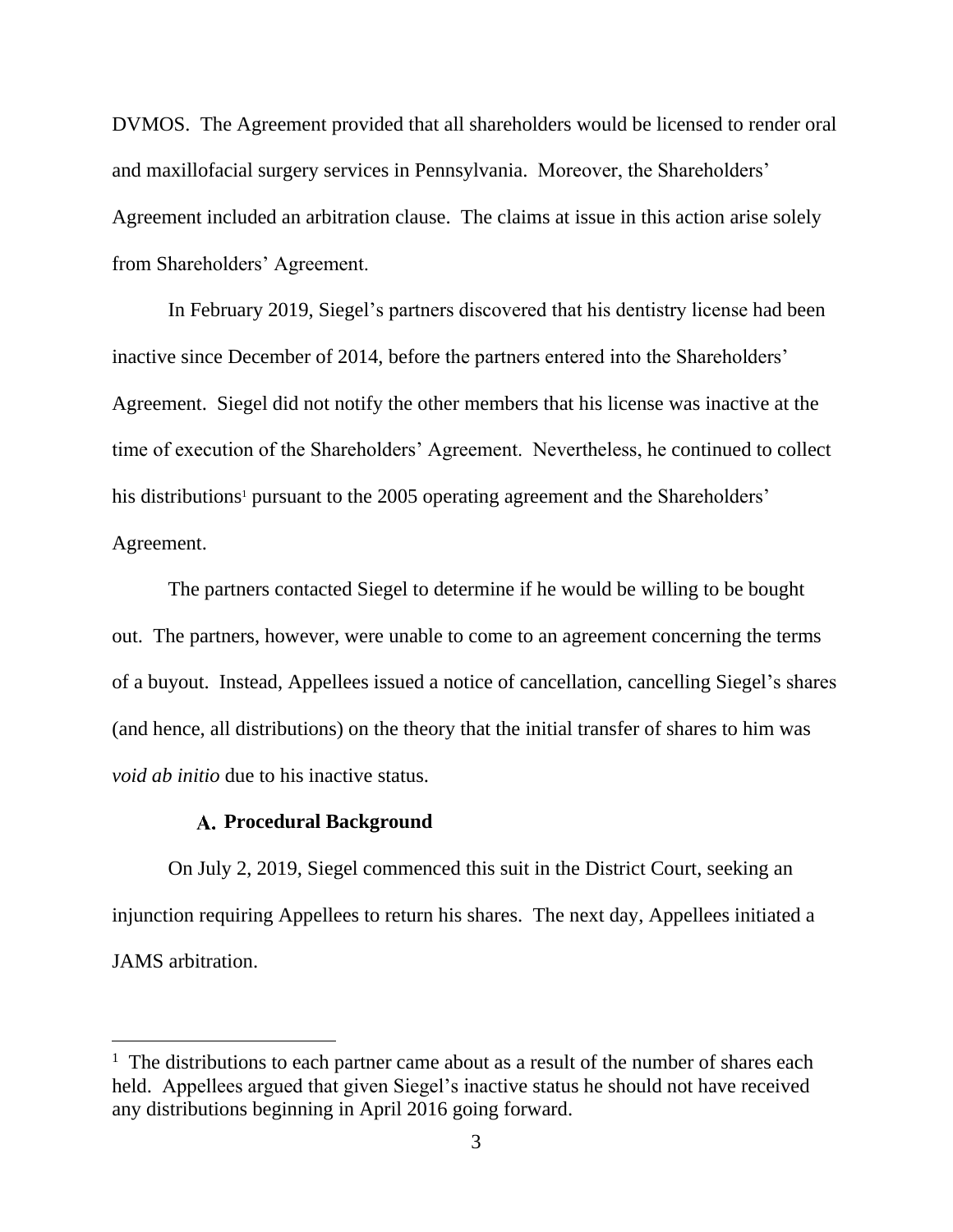DVMOS. The Agreement provided that all shareholders would be licensed to render oral and maxillofacial surgery services in Pennsylvania. Moreover, the Shareholders' Agreement included an arbitration clause. The claims at issue in this action arise solely from Shareholders' Agreement.

In February 2019, Siegel's partners discovered that his dentistry license had been inactive since December of 2014, before the partners entered into the Shareholders' Agreement. Siegel did not notify the other members that his license was inactive at the time of execution of the Shareholders' Agreement. Nevertheless, he continued to collect his distributions<sup>1</sup> pursuant to the 2005 operating agreement and the Shareholders' Agreement.

The partners contacted Siegel to determine if he would be willing to be bought out. The partners, however, were unable to come to an agreement concerning the terms of a buyout. Instead, Appellees issued a notice of cancellation, cancelling Siegel's shares (and hence, all distributions) on the theory that the initial transfer of shares to him was *void ab initio* due to his inactive status.

### **Procedural Background**

On July 2, 2019, Siegel commenced this suit in the District Court, seeking an injunction requiring Appellees to return his shares. The next day, Appellees initiated a JAMS arbitration.

<sup>&</sup>lt;sup>1</sup> The distributions to each partner came about as a result of the number of shares each held. Appellees argued that given Siegel's inactive status he should not have received any distributions beginning in April 2016 going forward.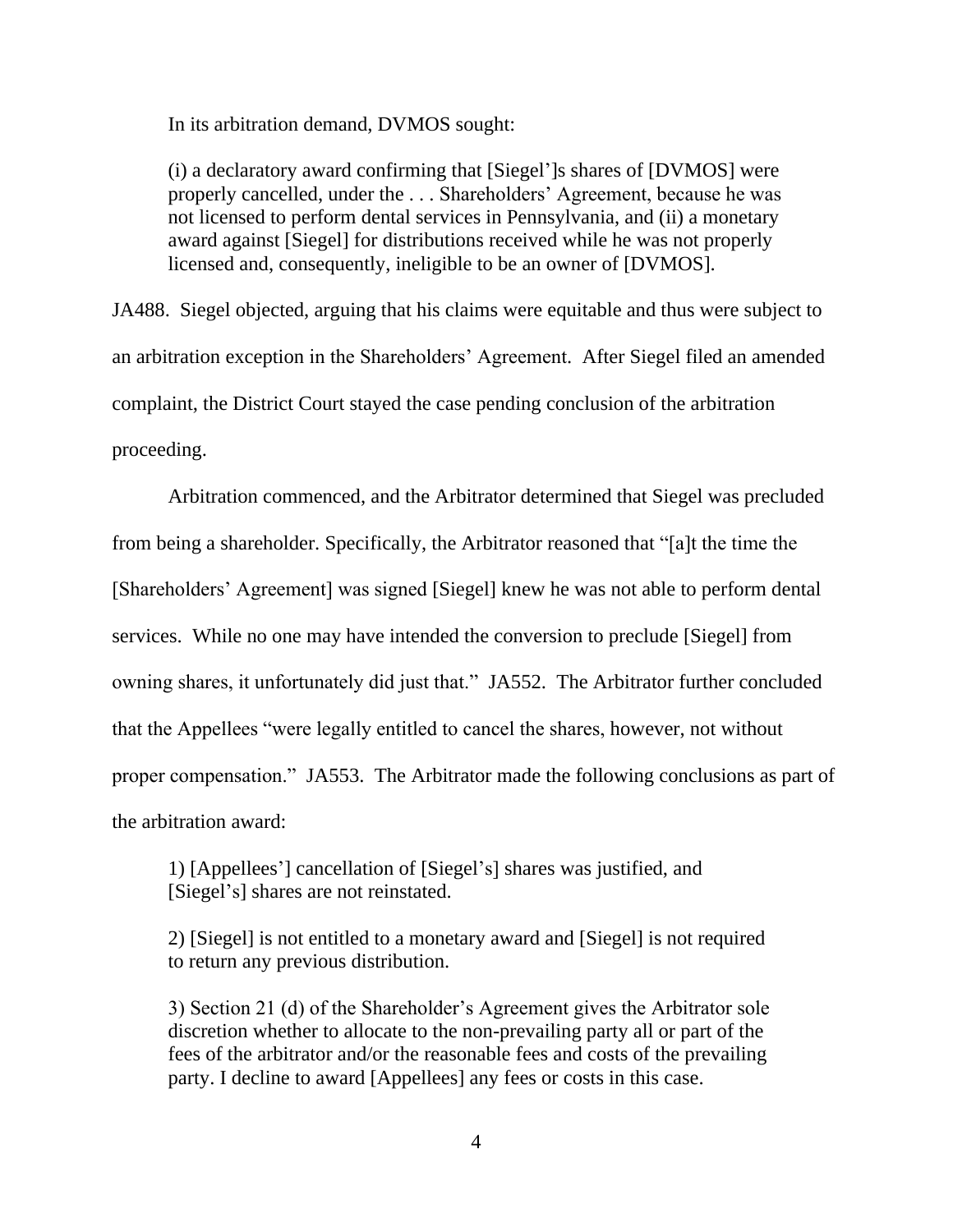In its arbitration demand, DVMOS sought:

(i) a declaratory award confirming that [Siegel']s shares of [DVMOS] were properly cancelled, under the . . . Shareholders' Agreement, because he was not licensed to perform dental services in Pennsylvania, and (ii) a monetary award against [Siegel] for distributions received while he was not properly licensed and, consequently, ineligible to be an owner of [DVMOS].

JA488. Siegel objected, arguing that his claims were equitable and thus were subject to an arbitration exception in the Shareholders' Agreement. After Siegel filed an amended complaint, the District Court stayed the case pending conclusion of the arbitration proceeding.

Arbitration commenced, and the Arbitrator determined that Siegel was precluded from being a shareholder. Specifically, the Arbitrator reasoned that "[a]t the time the [Shareholders' Agreement] was signed [Siegel] knew he was not able to perform dental services. While no one may have intended the conversion to preclude [Siegel] from owning shares, it unfortunately did just that." JA552. The Arbitrator further concluded that the Appellees "were legally entitled to cancel the shares, however, not without proper compensation." JA553. The Arbitrator made the following conclusions as part of the arbitration award:

1) [Appellees'] cancellation of [Siegel's] shares was justified, and [Siegel's] shares are not reinstated.

2) [Siegel] is not entitled to a monetary award and [Siegel] is not required to return any previous distribution.

3) Section 21 (d) of the Shareholder's Agreement gives the Arbitrator sole discretion whether to allocate to the non-prevailing party all or part of the fees of the arbitrator and/or the reasonable fees and costs of the prevailing party. I decline to award [Appellees] any fees or costs in this case.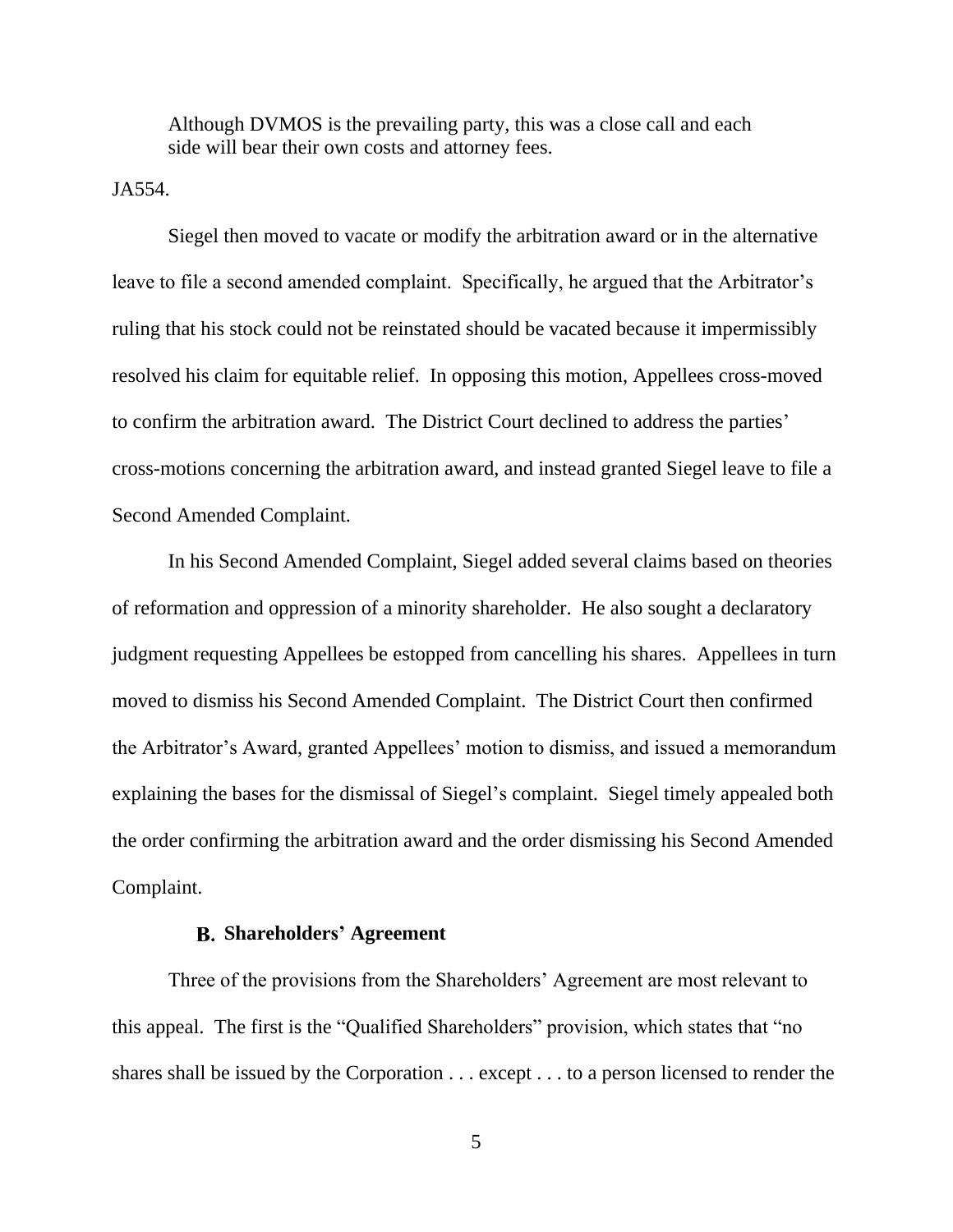Although DVMOS is the prevailing party, this was a close call and each side will bear their own costs and attorney fees.

JA554.

Siegel then moved to vacate or modify the arbitration award or in the alternative leave to file a second amended complaint. Specifically, he argued that the Arbitrator's ruling that his stock could not be reinstated should be vacated because it impermissibly resolved his claim for equitable relief. In opposing this motion, Appellees cross-moved to confirm the arbitration award. The District Court declined to address the parties' cross-motions concerning the arbitration award, and instead granted Siegel leave to file a Second Amended Complaint.

In his Second Amended Complaint, Siegel added several claims based on theories of reformation and oppression of a minority shareholder. He also sought a declaratory judgment requesting Appellees be estopped from cancelling his shares. Appellees in turn moved to dismiss his Second Amended Complaint. The District Court then confirmed the Arbitrator's Award, granted Appellees' motion to dismiss, and issued a memorandum explaining the bases for the dismissal of Siegel's complaint. Siegel timely appealed both the order confirming the arbitration award and the order dismissing his Second Amended Complaint.

### **Shareholders' Agreement**

Three of the provisions from the Shareholders' Agreement are most relevant to this appeal. The first is the "Qualified Shareholders" provision, which states that "no shares shall be issued by the Corporation . . . except . . . to a person licensed to render the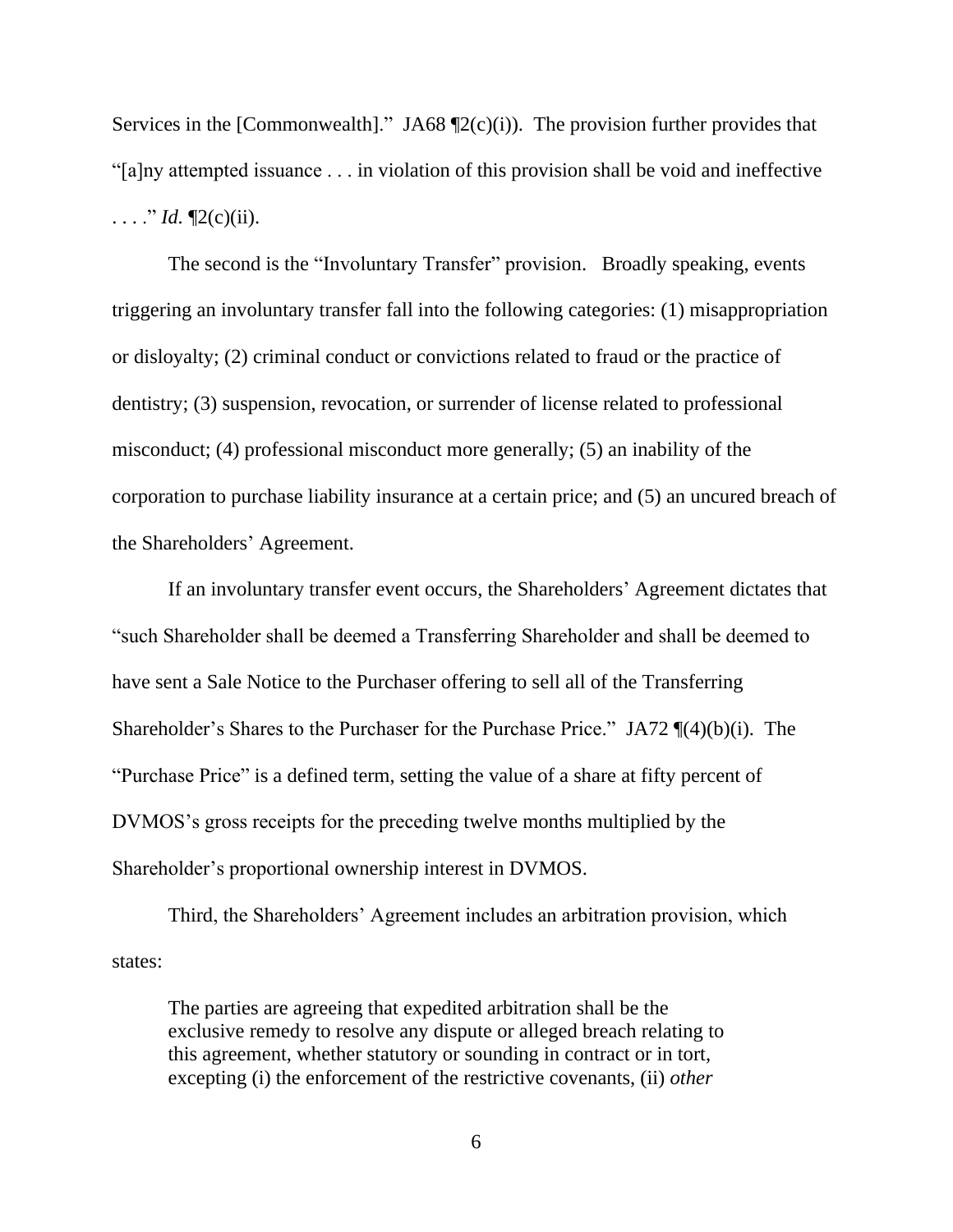Services in the [Commonwealth]." JA68  $\P2(c)(i)$ . The provision further provides that "[a]ny attempted issuance . . . in violation of this provision shall be void and ineffective ...." *Id.*  $\P2(c)(ii)$ .

The second is the "Involuntary Transfer" provision. Broadly speaking, events triggering an involuntary transfer fall into the following categories: (1) misappropriation or disloyalty; (2) criminal conduct or convictions related to fraud or the practice of dentistry; (3) suspension, revocation, or surrender of license related to professional misconduct; (4) professional misconduct more generally; (5) an inability of the corporation to purchase liability insurance at a certain price; and (5) an uncured breach of the Shareholders' Agreement.

If an involuntary transfer event occurs, the Shareholders' Agreement dictates that "such Shareholder shall be deemed a Transferring Shareholder and shall be deemed to have sent a Sale Notice to the Purchaser offering to sell all of the Transferring Shareholder's Shares to the Purchaser for the Purchase Price." JA72 ¶(4)(b)(i). The "Purchase Price" is a defined term, setting the value of a share at fifty percent of DVMOS's gross receipts for the preceding twelve months multiplied by the Shareholder's proportional ownership interest in DVMOS.

Third, the Shareholders' Agreement includes an arbitration provision, which states:

The parties are agreeing that expedited arbitration shall be the exclusive remedy to resolve any dispute or alleged breach relating to this agreement, whether statutory or sounding in contract or in tort, excepting (i) the enforcement of the restrictive covenants, (ii) *other*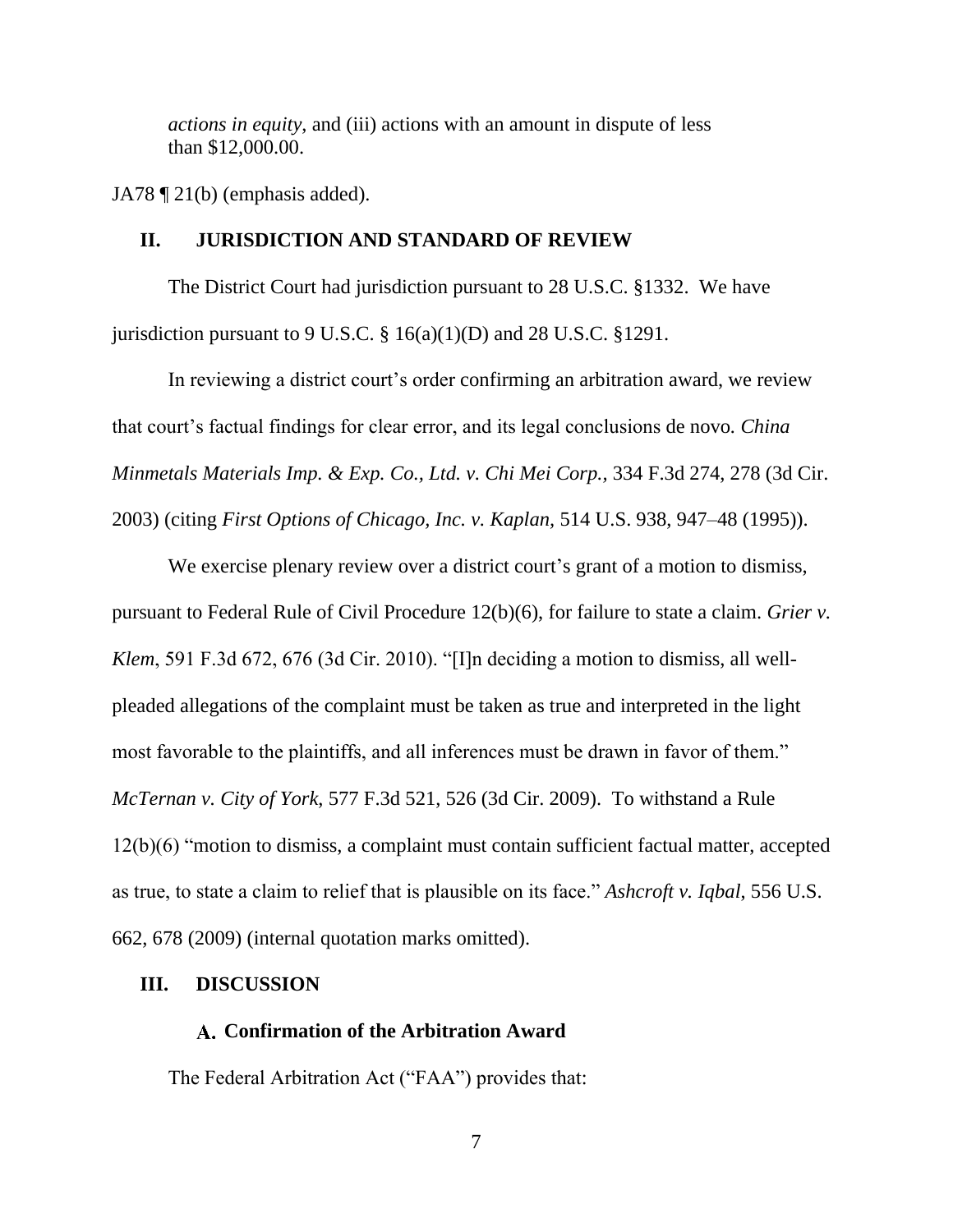*actions in equity*, and (iii) actions with an amount in dispute of less than \$12,000.00.

JA78 ¶ 21(b) (emphasis added).

### **II. JURISDICTION AND STANDARD OF REVIEW**

The District Court had jurisdiction pursuant to 28 U.S.C. §1332. We have jurisdiction pursuant to 9 U.S.C.  $\S 16(a)(1)(D)$  and 28 U.S.C.  $\S 1291$ .

In reviewing a district court's order confirming an arbitration award, we review that court's factual findings for clear error, and its legal conclusions de novo*. China Minmetals Materials Imp. & Exp. Co., Ltd. v. Chi Mei Corp.,* 334 F.3d 274, 278 (3d Cir. 2003) (citing *First Options of Chicago, Inc. v. Kaplan,* 514 U.S. 938, 947–48 (1995)).

We exercise plenary review over a district court's grant of a motion to dismiss, pursuant to Federal Rule of Civil Procedure 12(b)(6), for failure to state a claim. *Grier v. Klem*, 591 F.3d 672, 676 (3d Cir. 2010). "[I]n deciding a motion to dismiss, all wellpleaded allegations of the complaint must be taken as true and interpreted in the light most favorable to the plaintiffs, and all inferences must be drawn in favor of them." *McTernan v. City of York*, 577 F.3d 521, 526 (3d Cir. 2009). To withstand a Rule 12(b)(6) "motion to dismiss, a complaint must contain sufficient factual matter, accepted as true, to state a claim to relief that is plausible on its face." *Ashcroft v. Iqbal*, 556 U.S. 662, 678 (2009) (internal quotation marks omitted).

### **III. DISCUSSION**

#### **Confirmation of the Arbitration Award**

The Federal Arbitration Act ("FAA") provides that: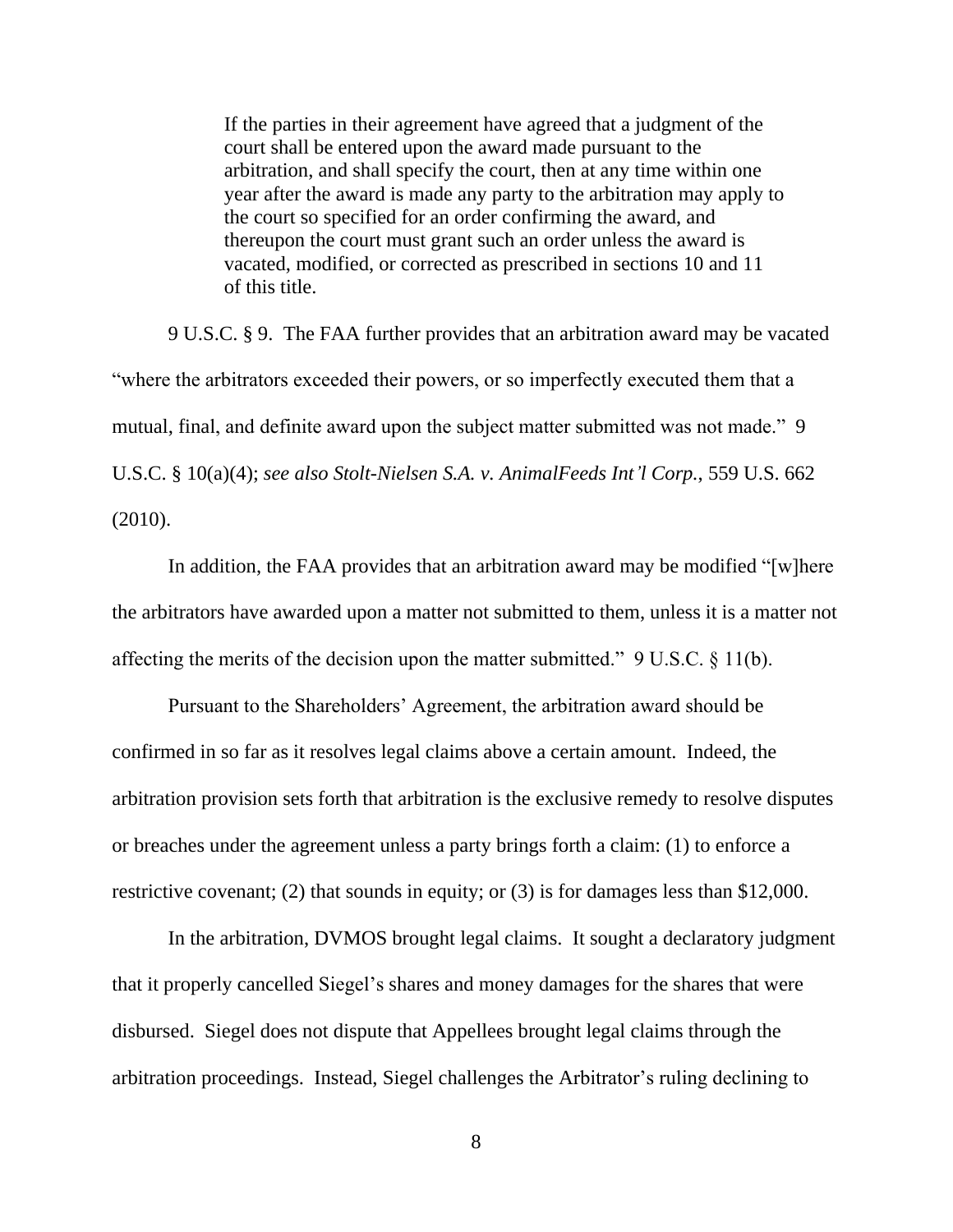If the parties in their agreement have agreed that a judgment of the court shall be entered upon the award made pursuant to the arbitration, and shall specify the court, then at any time within one year after the award is made any party to the arbitration may apply to the court so specified for an order confirming the award, and thereupon the court must grant such an order unless the award is vacated, modified, or corrected as prescribed in sections 10 and 11 of this title.

9 U.S.C. § 9. The FAA further provides that an arbitration award may be vacated "where the arbitrators exceeded their powers, or so imperfectly executed them that a mutual, final, and definite award upon the subject matter submitted was not made." 9 U.S.C. § 10(a)(4); *see also Stolt-Nielsen S.A. v. AnimalFeeds Int'l Corp.*, 559 U.S. 662 (2010).

In addition, the FAA provides that an arbitration award may be modified "[w]here the arbitrators have awarded upon a matter not submitted to them, unless it is a matter not affecting the merits of the decision upon the matter submitted." 9 U.S.C. § 11(b).

Pursuant to the Shareholders' Agreement, the arbitration award should be confirmed in so far as it resolves legal claims above a certain amount. Indeed, the arbitration provision sets forth that arbitration is the exclusive remedy to resolve disputes or breaches under the agreement unless a party brings forth a claim: (1) to enforce a restrictive covenant; (2) that sounds in equity; or (3) is for damages less than \$12,000.

In the arbitration, DVMOS brought legal claims. It sought a declaratory judgment that it properly cancelled Siegel's shares and money damages for the shares that were disbursed. Siegel does not dispute that Appellees brought legal claims through the arbitration proceedings. Instead, Siegel challenges the Arbitrator's ruling declining to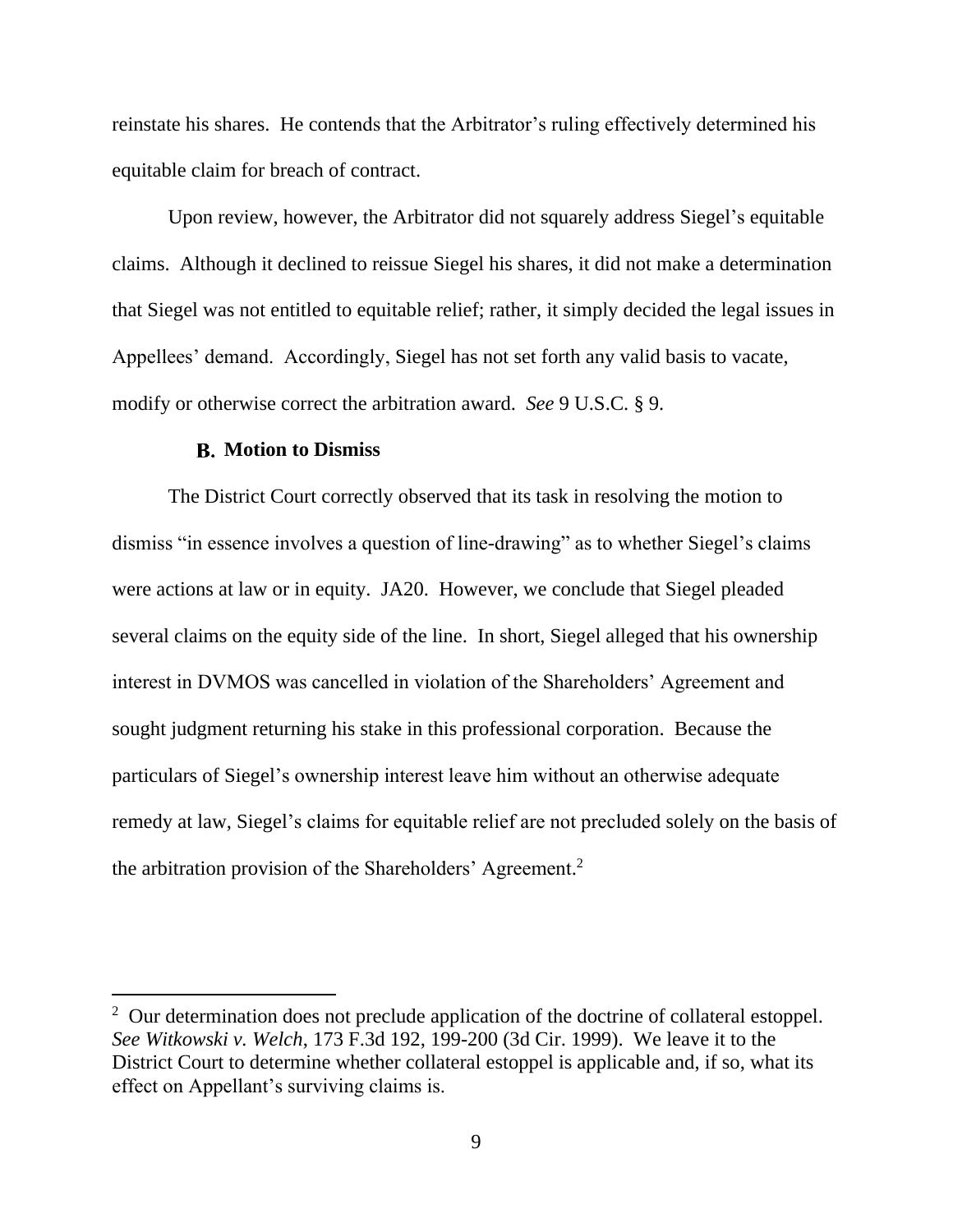reinstate his shares. He contends that the Arbitrator's ruling effectively determined his equitable claim for breach of contract.

Upon review, however, the Arbitrator did not squarely address Siegel's equitable claims. Although it declined to reissue Siegel his shares, it did not make a determination that Siegel was not entitled to equitable relief; rather, it simply decided the legal issues in Appellees' demand. Accordingly, Siegel has not set forth any valid basis to vacate, modify or otherwise correct the arbitration award. *See* 9 U.S.C. § 9.

### **Motion to Dismiss**

The District Court correctly observed that its task in resolving the motion to dismiss "in essence involves a question of line-drawing" as to whether Siegel's claims were actions at law or in equity. JA20. However, we conclude that Siegel pleaded several claims on the equity side of the line. In short, Siegel alleged that his ownership interest in DVMOS was cancelled in violation of the Shareholders' Agreement and sought judgment returning his stake in this professional corporation. Because the particulars of Siegel's ownership interest leave him without an otherwise adequate remedy at law, Siegel's claims for equitable relief are not precluded solely on the basis of the arbitration provision of the Shareholders' Agreement. 2

<sup>&</sup>lt;sup>2</sup> Our determination does not preclude application of the doctrine of collateral estoppel. *See Witkowski v. Welch*, 173 F.3d 192, 199-200 (3d Cir. 1999). We leave it to the District Court to determine whether collateral estoppel is applicable and, if so, what its effect on Appellant's surviving claims is.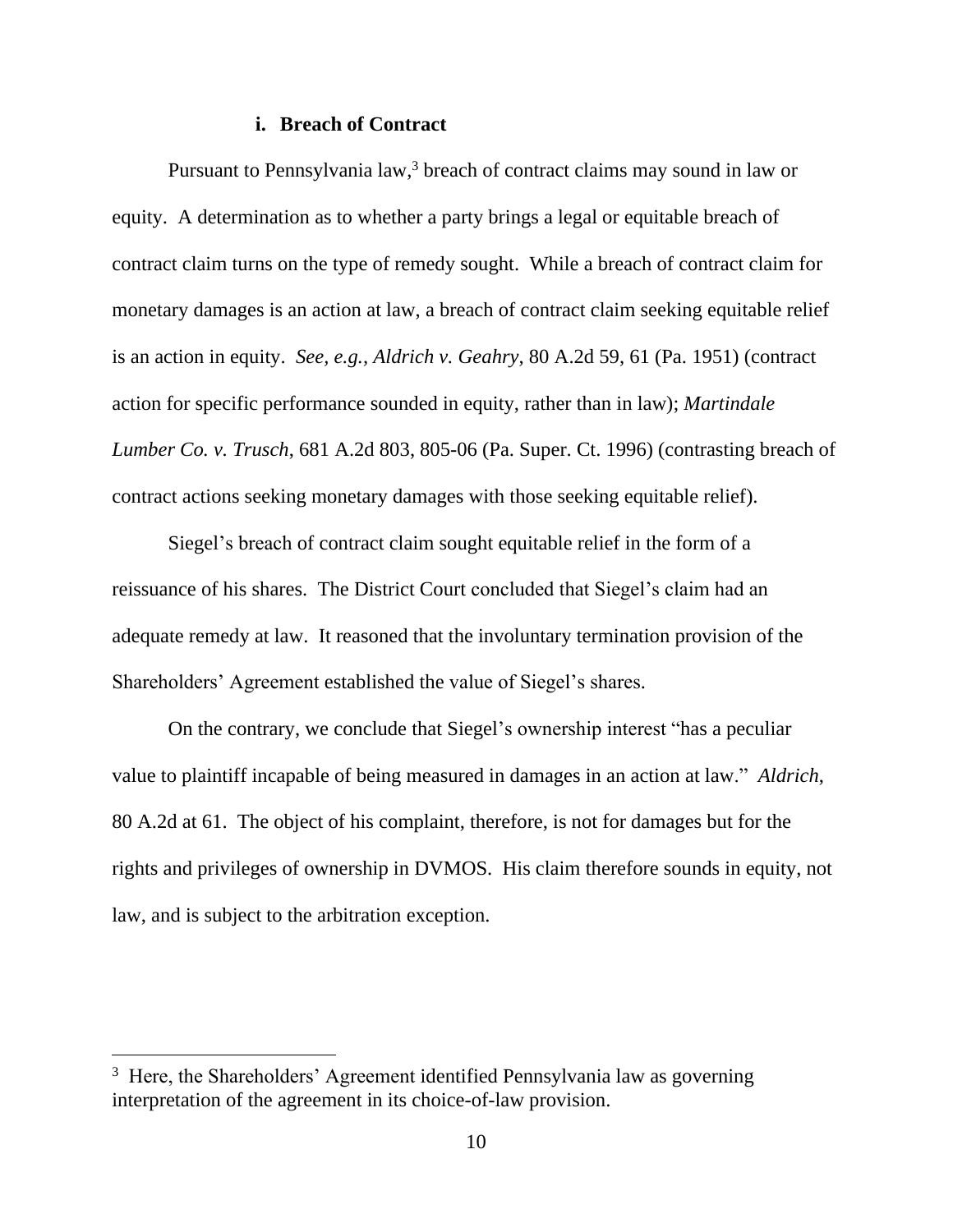#### **i. Breach of Contract**

Pursuant to Pennsylvania law,<sup>3</sup> breach of contract claims may sound in law or equity. A determination as to whether a party brings a legal or equitable breach of contract claim turns on the type of remedy sought. While a breach of contract claim for monetary damages is an action at law, a breach of contract claim seeking equitable relief is an action in equity. *See, e.g., Aldrich v. Geahry*, 80 A.2d 59, 61 (Pa. 1951) (contract action for specific performance sounded in equity, rather than in law); *Martindale Lumber Co. v. Trusch*, 681 A.2d 803, 805-06 (Pa. Super. Ct. 1996) (contrasting breach of contract actions seeking monetary damages with those seeking equitable relief).

Siegel's breach of contract claim sought equitable relief in the form of a reissuance of his shares. The District Court concluded that Siegel's claim had an adequate remedy at law. It reasoned that the involuntary termination provision of the Shareholders' Agreement established the value of Siegel's shares.

On the contrary, we conclude that Siegel's ownership interest "has a peculiar value to plaintiff incapable of being measured in damages in an action at law." *Aldrich*, 80 A.2d at 61. The object of his complaint, therefore, is not for damages but for the rights and privileges of ownership in DVMOS. His claim therefore sounds in equity, not law, and is subject to the arbitration exception.

<sup>&</sup>lt;sup>3</sup> Here, the Shareholders' Agreement identified Pennsylvania law as governing interpretation of the agreement in its choice-of-law provision.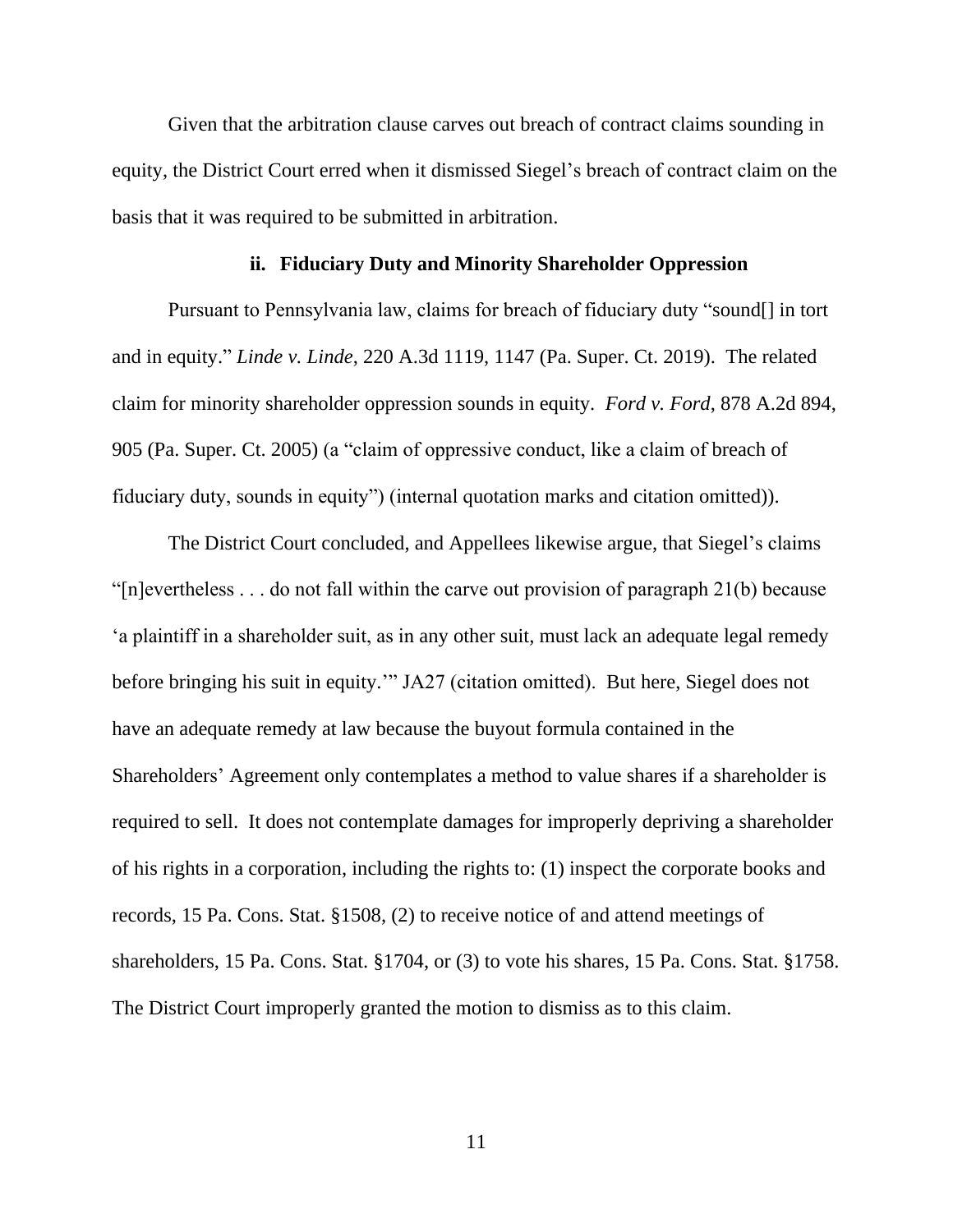Given that the arbitration clause carves out breach of contract claims sounding in equity, the District Court erred when it dismissed Siegel's breach of contract claim on the basis that it was required to be submitted in arbitration.

#### **ii. Fiduciary Duty and Minority Shareholder Oppression**

Pursuant to Pennsylvania law, claims for breach of fiduciary duty "sound[] in tort and in equity." *Linde v. Linde*, 220 A.3d 1119, 1147 (Pa. Super. Ct. 2019). The related claim for minority shareholder oppression sounds in equity. *Ford v. Ford*, 878 A.2d 894, 905 (Pa. Super. Ct. 2005) (a "claim of oppressive conduct, like a claim of breach of fiduciary duty, sounds in equity") (internal quotation marks and citation omitted)).

The District Court concluded, and Appellees likewise argue, that Siegel's claims "[n]evertheless . . . do not fall within the carve out provision of paragraph 21(b) because 'a plaintiff in a shareholder suit, as in any other suit, must lack an adequate legal remedy before bringing his suit in equity.'" JA27 (citation omitted). But here, Siegel does not have an adequate remedy at law because the buyout formula contained in the Shareholders' Agreement only contemplates a method to value shares if a shareholder is required to sell. It does not contemplate damages for improperly depriving a shareholder of his rights in a corporation, including the rights to: (1) inspect the corporate books and records, 15 Pa. Cons. Stat. §1508, (2) to receive notice of and attend meetings of shareholders, 15 Pa. Cons. Stat. §1704, or (3) to vote his shares, 15 Pa. Cons. Stat. §1758. The District Court improperly granted the motion to dismiss as to this claim.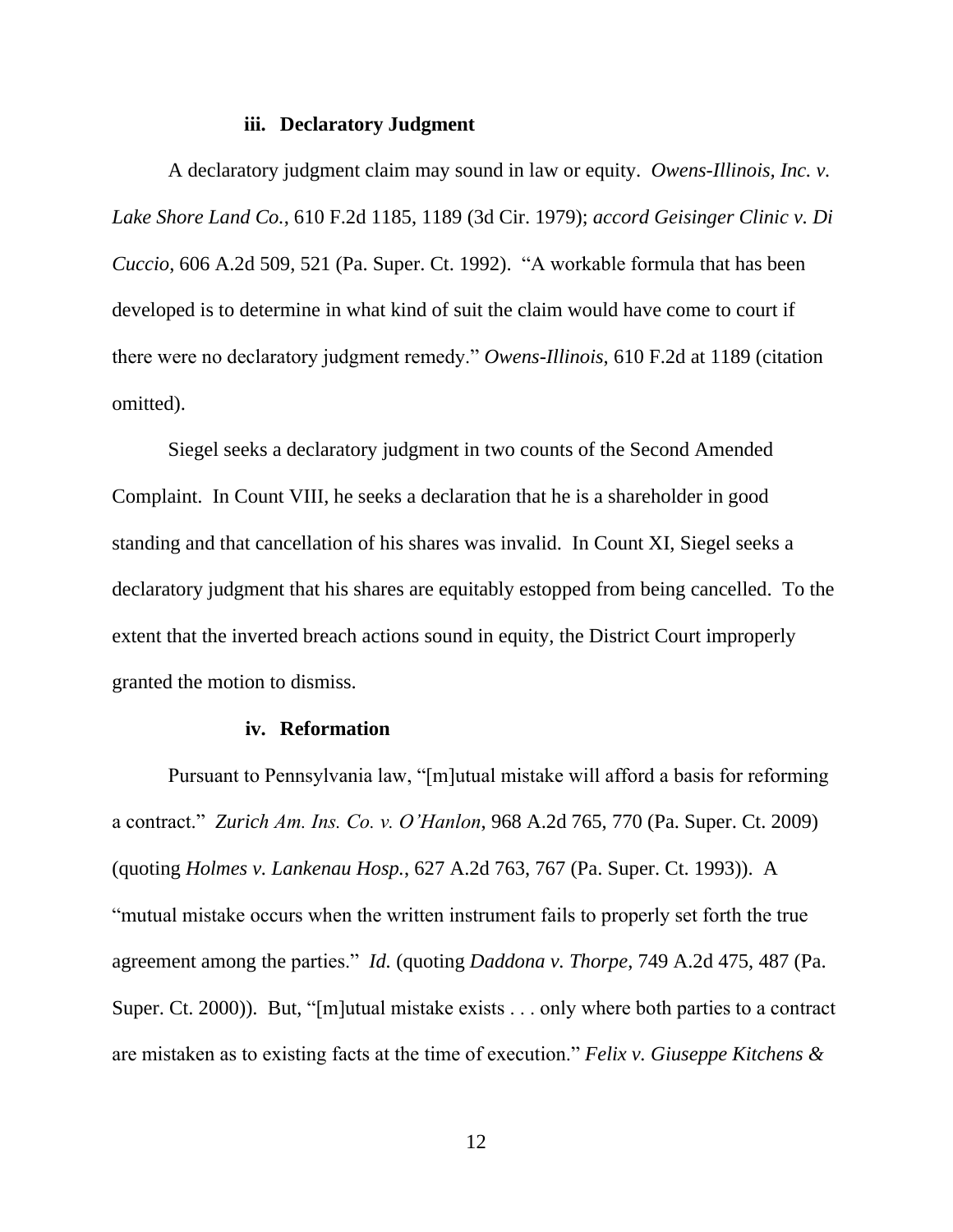#### **iii. Declaratory Judgment**

A declaratory judgment claim may sound in law or equity. *Owens-Illinois, Inc. v. Lake Shore Land Co.*, 610 F.2d 1185, 1189 (3d Cir. 1979); *accord Geisinger Clinic v. Di Cuccio*, 606 A.2d 509, 521 (Pa. Super. Ct. 1992). "A workable formula that has been developed is to determine in what kind of suit the claim would have come to court if there were no declaratory judgment remedy." *Owens-Illinois*, 610 F.2d at 1189 (citation omitted).

Siegel seeks a declaratory judgment in two counts of the Second Amended Complaint. In Count VIII, he seeks a declaration that he is a shareholder in good standing and that cancellation of his shares was invalid. In Count XI, Siegel seeks a declaratory judgment that his shares are equitably estopped from being cancelled. To the extent that the inverted breach actions sound in equity, the District Court improperly granted the motion to dismiss.

### **iv. Reformation**

Pursuant to Pennsylvania law, "[m]utual mistake will afford a basis for reforming a contract." *Zurich Am. Ins. Co. v. O'Hanlon*, 968 A.2d 765, 770 (Pa. Super. Ct. 2009) (quoting *Holmes v. Lankenau Hosp.*, 627 A.2d 763, 767 (Pa. Super. Ct. 1993)). A "mutual mistake occurs when the written instrument fails to properly set forth the true agreement among the parties." *Id.* (quoting *Daddona v. Thorpe*, 749 A.2d 475, 487 (Pa. Super. Ct. 2000)). But, "[m]utual mistake exists . . . only where both parties to a contract are mistaken as to existing facts at the time of execution." *Felix v. Giuseppe Kitchens &*